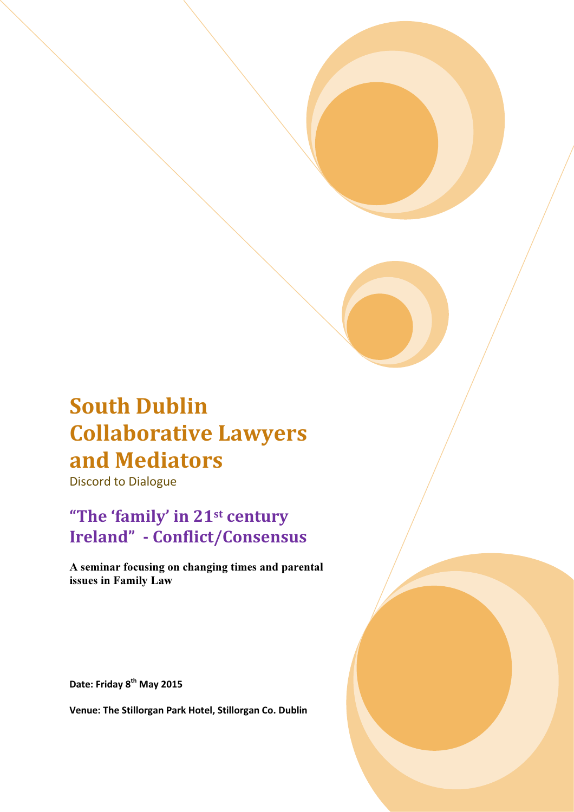# South Dublin Collaborative Lawyers and Mediators

Discord to Dialogue

# "The 'family' in 21st century Ireland" - Conflict/Consensus

A seminar focusing on changing times and parental issues in Family Law

Date: Friday 8<sup>th</sup> May 2015

Venue: The Stillorgan Park Hotel, Stillorgan Co. Dublin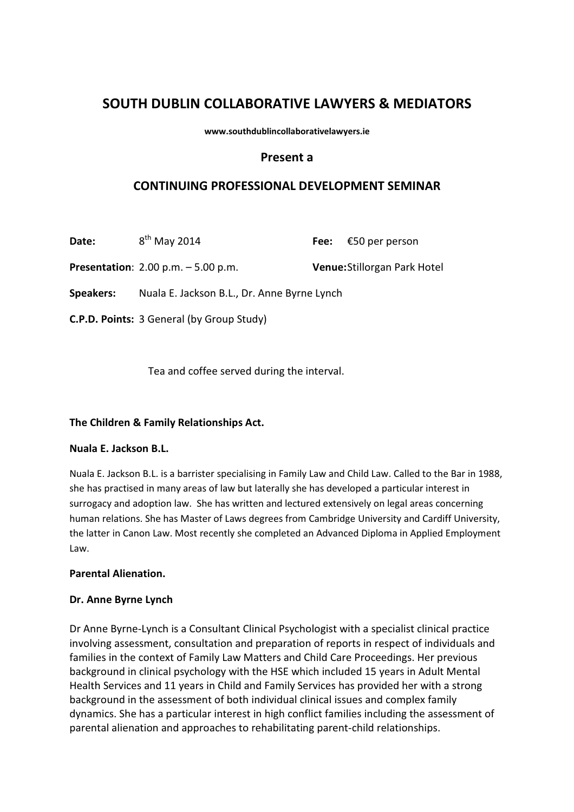# SOUTH DUBLIN COLLABORATIVE LAWYERS & MEDIATORS

www.southdublincollaborativelawyers.ie

#### Present a

### CONTINUING PROFESSIONAL DEVELOPMENT SEMINAR

**Date:**  $8^{th}$  May 2014 **Fee:** €50 per person

Presentation: 2.00 p.m. - 5.00 p.m. Venue: Stillorgan Park Hotel

Speakers: Nuala E. Jackson B.L., Dr. Anne Byrne Lynch

C.P.D. Points: 3 General (by Group Study)

Tea and coffee served during the interval.

#### The Children & Family Relationships Act.

#### Nuala E. Jackson B.L.

Nuala E. Jackson B.L. is a barrister specialising in Family Law and Child Law. Called to the Bar in 1988, she has practised in many areas of law but laterally she has developed a particular interest in surrogacy and adoption law. She has written and lectured extensively on legal areas concerning human relations. She has Master of Laws degrees from Cambridge University and Cardiff University, the latter in Canon Law. Most recently she completed an Advanced Diploma in Applied Employment Law.

#### Parental Alienation.

#### Dr. Anne Byrne Lynch

Dr Anne Byrne-Lynch is a Consultant Clinical Psychologist with a specialist clinical practice involving assessment, consultation and preparation of reports in respect of individuals and families in the context of Family Law Matters and Child Care Proceedings. Her previous background in clinical psychology with the HSE which included 15 years in Adult Mental Health Services and 11 years in Child and Family Services has provided her with a strong background in the assessment of both individual clinical issues and complex family dynamics. She has a particular interest in high conflict families including the assessment of parental alienation and approaches to rehabilitating parent-child relationships.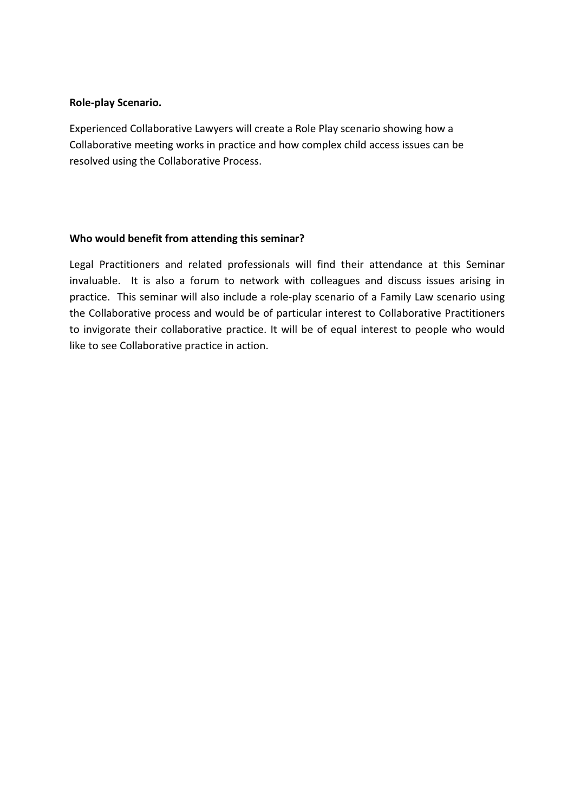#### Role-play Scenario.

Experienced Collaborative Lawyers will create a Role Play scenario showing how a Collaborative meeting works in practice and how complex child access issues can be resolved using the Collaborative Process.

#### Who would benefit from attending this seminar?

Legal Practitioners and related professionals will find their attendance at this Seminar invaluable. It is also a forum to network with colleagues and discuss issues arising in practice. This seminar will also include a role-play scenario of a Family Law scenario using the Collaborative process and would be of particular interest to Collaborative Practitioners to invigorate their collaborative practice. It will be of equal interest to people who would like to see Collaborative practice in action.